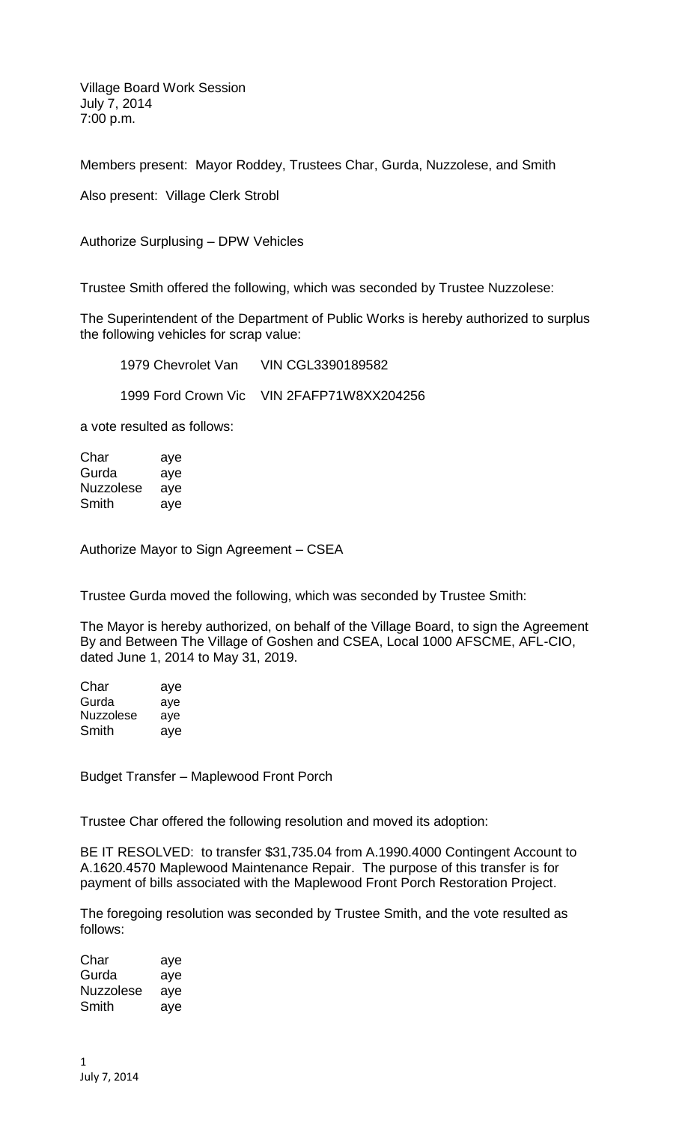Village Board Work Session July 7, 2014 7:00 p.m.

Members present: Mayor Roddey, Trustees Char, Gurda, Nuzzolese, and Smith

Also present: Village Clerk Strobl

Authorize Surplusing – DPW Vehicles

Trustee Smith offered the following, which was seconded by Trustee Nuzzolese:

The Superintendent of the Department of Public Works is hereby authorized to surplus the following vehicles for scrap value:

1979 Chevrolet Van VIN CGL3390189582 1999 Ford Crown Vic VIN 2FAFP71W8XX204256

a vote resulted as follows:

Char aye Gurda aye Nuzzolese aye Smith aye

Authorize Mayor to Sign Agreement – CSEA

Trustee Gurda moved the following, which was seconded by Trustee Smith:

The Mayor is hereby authorized, on behalf of the Village Board, to sign the Agreement By and Between The Village of Goshen and CSEA, Local 1000 AFSCME, AFL-CIO, dated June 1, 2014 to May 31, 2019.

| Char      | aye |
|-----------|-----|
| Gurda     | ave |
| Nuzzolese | ave |
| Smith     | aye |

Budget Transfer – Maplewood Front Porch

Trustee Char offered the following resolution and moved its adoption:

BE IT RESOLVED: to transfer \$31,735.04 from A.1990.4000 Contingent Account to A.1620.4570 Maplewood Maintenance Repair. The purpose of this transfer is for payment of bills associated with the Maplewood Front Porch Restoration Project.

The foregoing resolution was seconded by Trustee Smith, and the vote resulted as follows:

Char aye Gurda aye Nuzzolese aye Smith aye